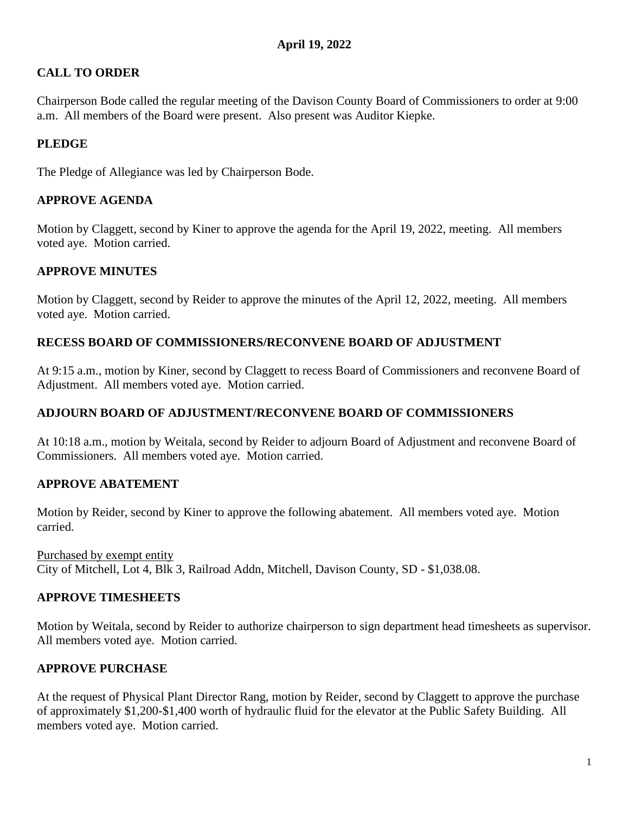# **CALL TO ORDER**

Chairperson Bode called the regular meeting of the Davison County Board of Commissioners to order at 9:00 a.m. All members of the Board were present. Also present was Auditor Kiepke.

# **PLEDGE**

The Pledge of Allegiance was led by Chairperson Bode.

### **APPROVE AGENDA**

Motion by Claggett, second by Kiner to approve the agenda for the April 19, 2022, meeting. All members voted aye. Motion carried.

### **APPROVE MINUTES**

Motion by Claggett, second by Reider to approve the minutes of the April 12, 2022, meeting. All members voted aye. Motion carried.

### **RECESS BOARD OF COMMISSIONERS/RECONVENE BOARD OF ADJUSTMENT**

At 9:15 a.m., motion by Kiner, second by Claggett to recess Board of Commissioners and reconvene Board of Adjustment. All members voted aye. Motion carried.

### **ADJOURN BOARD OF ADJUSTMENT/RECONVENE BOARD OF COMMISSIONERS**

At 10:18 a.m., motion by Weitala, second by Reider to adjourn Board of Adjustment and reconvene Board of Commissioners. All members voted aye. Motion carried.

#### **APPROVE ABATEMENT**

Motion by Reider, second by Kiner to approve the following abatement. All members voted aye. Motion carried.

Purchased by exempt entity City of Mitchell, Lot 4, Blk 3, Railroad Addn, Mitchell, Davison County, SD - \$1,038.08.

#### **APPROVE TIMESHEETS**

Motion by Weitala, second by Reider to authorize chairperson to sign department head timesheets as supervisor. All members voted aye. Motion carried.

# **APPROVE PURCHASE**

At the request of Physical Plant Director Rang, motion by Reider, second by Claggett to approve the purchase of approximately \$1,200-\$1,400 worth of hydraulic fluid for the elevator at the Public Safety Building. All members voted aye. Motion carried.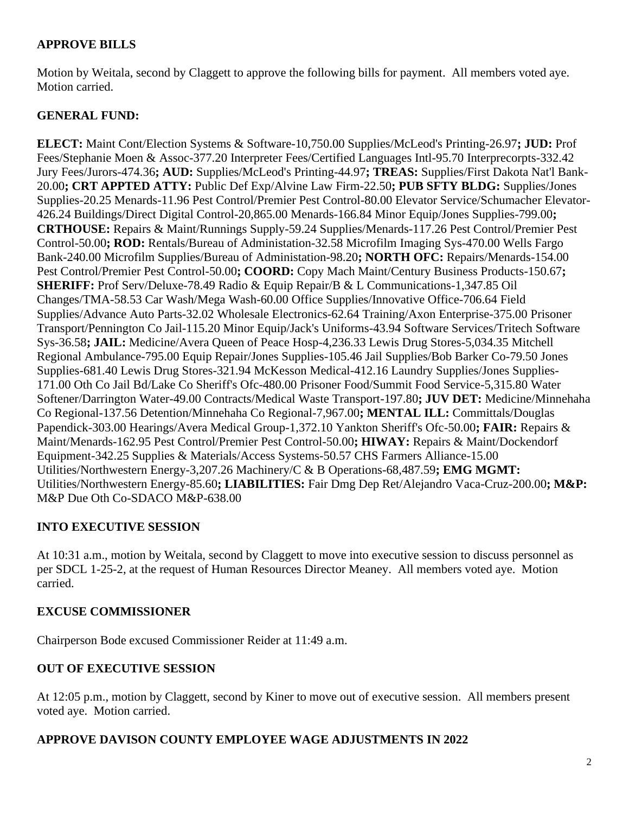# **APPROVE BILLS**

Motion by Weitala, second by Claggett to approve the following bills for payment. All members voted aye. Motion carried.

# **GENERAL FUND:**

**ELECT:** Maint Cont/Election Systems & Software-10,750.00 Supplies/McLeod's Printing-26.97**; JUD:** Prof Fees/Stephanie Moen & Assoc-377.20 Interpreter Fees/Certified Languages Intl-95.70 Interprecorpts-332.42 Jury Fees/Jurors-474.36**; AUD:** Supplies/McLeod's Printing-44.97**; TREAS:** Supplies/First Dakota Nat'l Bank-20.00**; CRT APPTED ATTY:** Public Def Exp/Alvine Law Firm-22.50**; PUB SFTY BLDG:** Supplies/Jones Supplies-20.25 Menards-11.96 Pest Control/Premier Pest Control-80.00 Elevator Service/Schumacher Elevator-426.24 Buildings/Direct Digital Control-20,865.00 Menards-166.84 Minor Equip/Jones Supplies-799.00**; CRTHOUSE:** Repairs & Maint/Runnings Supply-59.24 Supplies/Menards-117.26 Pest Control/Premier Pest Control-50.00**; ROD:** Rentals/Bureau of Administation-32.58 Microfilm Imaging Sys-470.00 Wells Fargo Bank-240.00 Microfilm Supplies/Bureau of Administation-98.20**; NORTH OFC:** Repairs/Menards-154.00 Pest Control/Premier Pest Control-50.00**; COORD:** Copy Mach Maint/Century Business Products-150.67**; SHERIFF:** Prof Serv/Deluxe-78.49 Radio & Equip Repair/B & L Communications-1,347.85 Oil Changes/TMA-58.53 Car Wash/Mega Wash-60.00 Office Supplies/Innovative Office-706.64 Field Supplies/Advance Auto Parts-32.02 Wholesale Electronics-62.64 Training/Axon Enterprise-375.00 Prisoner Transport/Pennington Co Jail-115.20 Minor Equip/Jack's Uniforms-43.94 Software Services/Tritech Software Sys-36.58**; JAIL:** Medicine/Avera Queen of Peace Hosp-4,236.33 Lewis Drug Stores-5,034.35 Mitchell Regional Ambulance-795.00 Equip Repair/Jones Supplies-105.46 Jail Supplies/Bob Barker Co-79.50 Jones Supplies-681.40 Lewis Drug Stores-321.94 McKesson Medical-412.16 Laundry Supplies/Jones Supplies-171.00 Oth Co Jail Bd/Lake Co Sheriff's Ofc-480.00 Prisoner Food/Summit Food Service-5,315.80 Water Softener/Darrington Water-49.00 Contracts/Medical Waste Transport-197.80**; JUV DET:** Medicine/Minnehaha Co Regional-137.56 Detention/Minnehaha Co Regional-7,967.00**; MENTAL ILL:** Committals/Douglas Papendick-303.00 Hearings/Avera Medical Group-1,372.10 Yankton Sheriff's Ofc-50.00**; FAIR:** Repairs & Maint/Menards-162.95 Pest Control/Premier Pest Control-50.00**; HIWAY:** Repairs & Maint/Dockendorf Equipment-342.25 Supplies & Materials/Access Systems-50.57 CHS Farmers Alliance-15.00 Utilities/Northwestern Energy-3,207.26 Machinery/C & B Operations-68,487.59**; EMG MGMT:** Utilities/Northwestern Energy-85.60**; LIABILITIES:** Fair Dmg Dep Ret/Alejandro Vaca-Cruz-200.00**; M&P:** M&P Due Oth Co-SDACO M&P-638.00

# **INTO EXECUTIVE SESSION**

At 10:31 a.m., motion by Weitala, second by Claggett to move into executive session to discuss personnel as per SDCL 1-25-2, at the request of Human Resources Director Meaney. All members voted aye. Motion carried.

#### **EXCUSE COMMISSIONER**

Chairperson Bode excused Commissioner Reider at 11:49 a.m.

#### **OUT OF EXECUTIVE SESSION**

At 12:05 p.m., motion by Claggett, second by Kiner to move out of executive session. All members present voted aye. Motion carried.

#### **APPROVE DAVISON COUNTY EMPLOYEE WAGE ADJUSTMENTS IN 2022**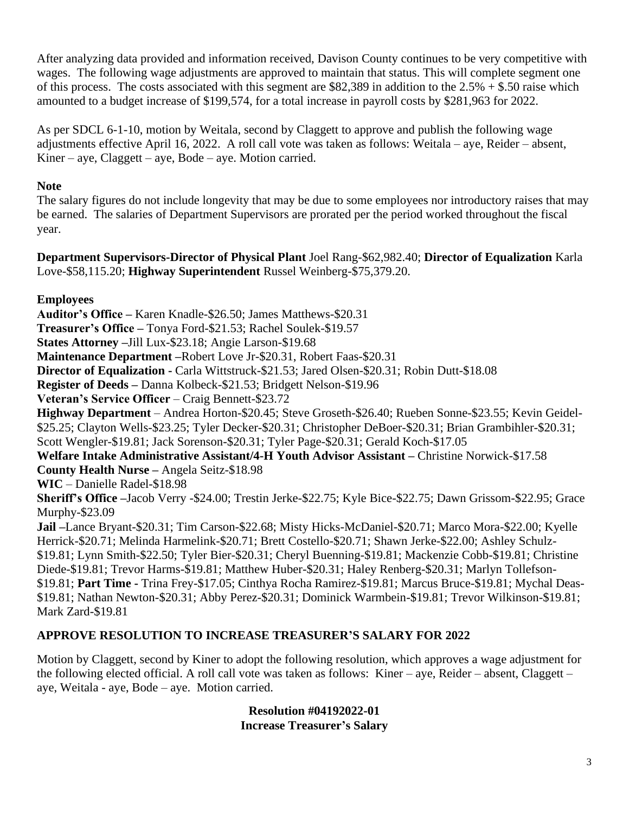After analyzing data provided and information received, Davison County continues to be very competitive with wages. The following wage adjustments are approved to maintain that status. This will complete segment one of this process. The costs associated with this segment are \$82,389 in addition to the  $2.5\% + $.50$  raise which amounted to a budget increase of \$199,574, for a total increase in payroll costs by \$281,963 for 2022.

As per SDCL 6-1-10, motion by Weitala, second by Claggett to approve and publish the following wage adjustments effective April 16, 2022. A roll call vote was taken as follows: Weitala – aye, Reider – absent, Kiner – aye, Claggett – aye, Bode – aye. Motion carried.

# **Note**

The salary figures do not include longevity that may be due to some employees nor introductory raises that may be earned. The salaries of Department Supervisors are prorated per the period worked throughout the fiscal year.

**Department Supervisors-Director of Physical Plant** Joel Rang-\$62,982.40; **Director of Equalization** Karla Love-\$58,115.20; **Highway Superintendent** Russel Weinberg-\$75,379.20.

# **Employees**

**Auditor's Office –** Karen Knadle-\$26.50; James Matthews-\$20.31 **Treasurer's Office –** Tonya Ford-\$21.53; Rachel Soulek-\$19.57 **States Attorney –**Jill Lux-\$23.18; Angie Larson-\$19.68 **Maintenance Department –**Robert Love Jr-\$20.31, Robert Faas-\$20.31 **Director of Equalization -** Carla Wittstruck-\$21.53; Jared Olsen-\$20.31; Robin Dutt-\$18.08 **Register of Deeds –** Danna Kolbeck-\$21.53; Bridgett Nelson-\$19.96 **Veteran's Service Officer** – Craig Bennett-\$23.72 **Highway Department** – Andrea Horton-\$20.45; Steve Groseth-\$26.40; Rueben Sonne-\$23.55; Kevin Geidel- \$25.25; Clayton Wells-\$23.25; Tyler Decker-\$20.31; Christopher DeBoer-\$20.31; Brian Grambihler-\$20.31; Scott Wengler-\$19.81; Jack Sorenson-\$20.31; Tyler Page-\$20.31; Gerald Koch-\$17.05 **Welfare Intake Administrative Assistant/4-H Youth Advisor Assistant –** Christine Norwick-\$17.58 **County Health Nurse –** Angela Seitz-\$18.98 **WIC** – Danielle Radel-\$18.98 **Sheriff's Office –**Jacob Verry -\$24.00; Trestin Jerke-\$22.75; Kyle Bice-\$22.75; Dawn Grissom-\$22.95; Grace Murphy-\$23.09 **Jail –**Lance Bryant-\$20.31; Tim Carson-\$22.68; Misty Hicks-McDaniel-\$20.71; Marco Mora-\$22.00; Kyelle Herrick-\$20.71; Melinda Harmelink-\$20.71; Brett Costello-\$20.71; Shawn Jerke-\$22.00; Ashley Schulz- \$19.81; Lynn Smith-\$22.50; Tyler Bier-\$20.31; Cheryl Buenning-\$19.81; Mackenzie Cobb-\$19.81; Christine Diede-\$19.81; Trevor Harms-\$19.81; Matthew Huber-\$20.31; Haley Renberg-\$20.31; Marlyn Tollefson- \$19.81; **Part Time -** Trina Frey-\$17.05; Cinthya Rocha Ramirez-\$19.81; Marcus Bruce-\$19.81; Mychal Deas- \$19.81; Nathan Newton-\$20.31; Abby Perez-\$20.31; Dominick Warmbein-\$19.81; Trevor Wilkinson-\$19.81; Mark Zard-\$19.81

# **APPROVE RESOLUTION TO INCREASE TREASURER'S SALARY FOR 2022**

Motion by Claggett, second by Kiner to adopt the following resolution, which approves a wage adjustment for the following elected official. A roll call vote was taken as follows: Kiner – aye, Reider – absent, Claggett – aye, Weitala - aye, Bode – aye. Motion carried.

### **Resolution #04192022-01 Increase Treasurer's Salary**